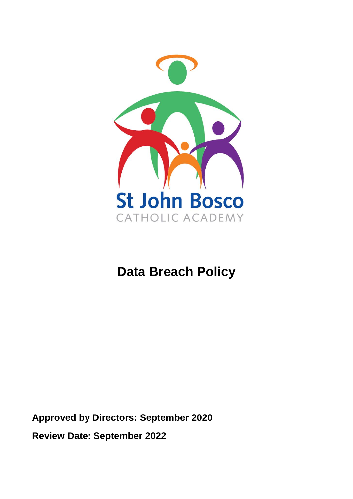

# **Data Breach Policy**

**Approved by Directors: September 2020 Review Date: September 2022**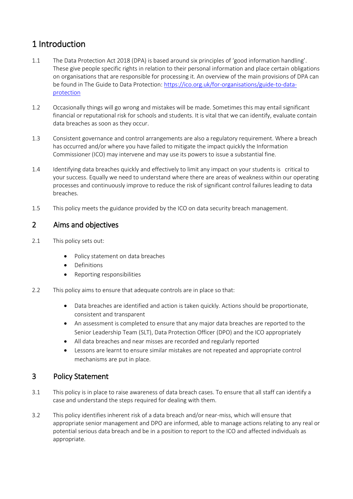# 1 Introduction

- 1.1 The Data Protection Act 2018 (DPA) is based around six principles of 'good information handling'. These give people specific rights in relation to their personal information and place certain obligations on organisations that are responsible for processing it. An overview of the main provisions of DPA can be found in The Guide to Data Protection[: https://ico.org.uk/for-organisations/guide-to-data](https://ico.org.uk/for-organisations/guide-to-data-protection)[protection](https://ico.org.uk/for-organisations/guide-to-data-protection)
- 1.2 Occasionally things will go wrong and mistakes will be made. Sometimes this may entail significant financial or reputational risk for schools and students. It is vital that we can identify, evaluate contain data breaches as soon as they occur.
- 1.3 Consistent governance and control arrangements are also a regulatory requirement. Where a breach has occurred and/or where you have failed to mitigate the impact quickly the Information Commissioner (ICO) may intervene and may use its powers to issue a substantial fine.
- 1.4 Identifying data breaches quickly and effectively to limit any impact on your students is critical to your success. Equally we need to understand where there are areas of weakness within our operating processes and continuously improve to reduce the risk of significant control failures leading to data breaches.
- 1.5 This policy meets the guidance provided by the ICO on data security breach management.

# 2 Aims and objectives

- 2.1 This policy sets out:
	- Policy statement on data breaches
	- Definitions
	- Reporting responsibilities
- 2.2 This policy aims to ensure that adequate controls are in place so that:
	- Data breaches are identified and action is taken quickly. Actions should be proportionate, consistent and transparent
	- An assessment is completed to ensure that any major data breaches are reported to the Senior Leadership Team (SLT), Data Protection Officer (DPO) and the ICO appropriately
	- All data breaches and near misses are recorded and regularly reported
	- Lessons are learnt to ensure similar mistakes are not repeated and appropriate control mechanisms are put in place.

# 3 Policy Statement

- 3.1 This policy is in place to raise awareness of data breach cases. To ensure that all staff can identify a case and understand the steps required for dealing with them.
- 3.2 This policy identifies inherent risk of a data breach and/or near-miss, which will ensure that appropriate senior management and DPO are informed, able to manage actions relating to any real or potential serious data breach and be in a position to report to the ICO and affected individuals as appropriate.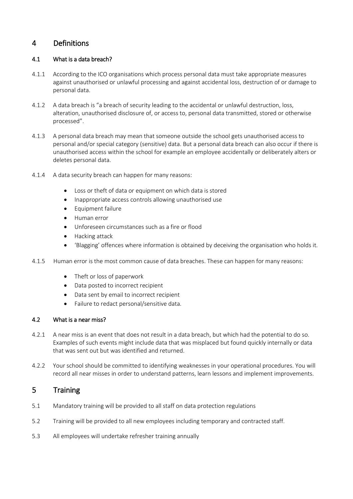# 4 Definitions

#### 4.1 What is a data breach?

- 4.1.1 According to the ICO organisations which process personal data must take appropriate measures against unauthorised or unlawful processing and against accidental loss, destruction of or damage to personal data.
- 4.1.2 A data breach is "a breach of security leading to the accidental or unlawful destruction, loss, alteration, unauthorised disclosure of, or access to, personal data transmitted, stored or otherwise processed".
- 4.1.3 A personal data breach may mean that someone outside the school gets unauthorised access to personal and/or special category (sensitive) data. But a personal data breach can also occur if there is unauthorised access within the school for example an employee accidentally or deliberately alters or deletes personal data.
- 4.1.4 A data security breach can happen for many reasons:
	- Loss or theft of data or equipment on which data is stored
	- Inappropriate access controls allowing unauthorised use
	- Equipment failure
	- Human error
	- Unforeseen circumstances such as a fire or flood
	- Hacking attack
	- 'Blagging' offences where information is obtained by deceiving the organisation who holds it.
- 4.1.5 Human error is the most common cause of data breaches. These can happen for many reasons:
	- Theft or loss of paperwork
	- Data posted to incorrect recipient
	- Data sent by email to incorrect recipient
	- Failure to redact personal/sensitive data.

#### 4.2 What is a near miss?

- 4.2.1 A near miss is an event that does not result in a data breach, but which had the potential to do so. Examples of such events might include data that was misplaced but found quickly internally or data that was sent out but was identified and returned.
- 4.2.2 Your school should be committed to identifying weaknesses in your operational procedures. You will record all near misses in order to understand patterns, learn lessons and implement improvements.

#### 5 Training

- 5.1 Mandatory training will be provided to all staff on data protection regulations
- 5.2 Training will be provided to all new employees including temporary and contracted staff.
- 5.3 All employees will undertake refresher training annually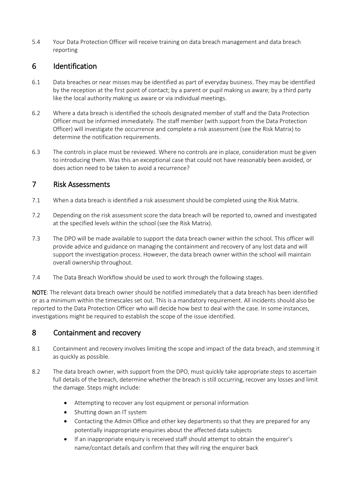5.4 Your Data Protection Officer will receive training on data breach management and data breach reporting

# 6 Identification

- 6.1 Data breaches or near misses may be identified as part of everyday business. They may be identified by the reception at the first point of contact; by a parent or pupil making us aware; by a third party like the local authority making us aware or via individual meetings.
- 6.2 Where a data breach is identified the schools designated member of staff and the Data Protection Officer must be informed immediately. The staff member (with support from the Data Protection Officer) will investigate the occurrence and complete a risk assessment (see the Risk Matrix) to determine the notification requirements.
- 6.3 The controls in place must be reviewed. Where no controls are in place, consideration must be given to introducing them. Was this an exceptional case that could not have reasonably been avoided, or does action need to be taken to avoid a recurrence?

#### 7 Risk Assessments

- 7.1 When a data breach is identified a risk assessment should be completed using the Risk Matrix.
- 7.2 Depending on the risk assessment score the data breach will be reported to, owned and investigated at the specified levels within the school (see the Risk Matrix).
- 7.3 The DPO will be made available to support the data breach owner within the school. This officer will provide advice and guidance on managing the containment and recovery of any lost data and will support the investigation process. However, the data breach owner within the school will maintain overall ownership throughout.
- 7.4 The Data Breach Workflow should be used to work through the following stages.

NOTE: The relevant data breach owner should be notified immediately that a data breach has been identified or as a minimum within the timescales set out. This is a mandatory requirement. All incidents should also be reported to the Data Protection Officer who will decide how best to deal with the case. In some instances, investigations might be required to establish the scope of the issue identified.

#### 8 Containment and recovery

- 8.1 Containment and recovery involves limiting the scope and impact of the data breach, and stemming it as quickly as possible.
- 8.2 The data breach owner, with support from the DPO, must quickly take appropriate steps to ascertain full details of the breach, determine whether the breach is still occurring, recover any losses and limit the damage. Steps might include:
	- Attempting to recover any lost equipment or personal information
	- Shutting down an IT system
	- Contacting the Admin Office and other key departments so that they are prepared for any potentially inappropriate enquiries about the affected data subjects
	- If an inappropriate enquiry is received staff should attempt to obtain the enquirer's name/contact details and confirm that they will ring the enquirer back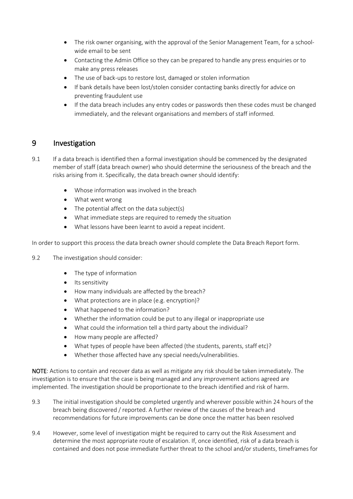- The risk owner organising, with the approval of the Senior Management Team, for a schoolwide email to be sent
- Contacting the Admin Office so they can be prepared to handle any press enquiries or to make any press releases
- The use of back-ups to restore lost, damaged or stolen information
- If bank details have been lost/stolen consider contacting banks directly for advice on preventing fraudulent use
- If the data breach includes any entry codes or passwords then these codes must be changed immediately, and the relevant organisations and members of staff informed.

# 9 Investigation

9.1 If a data breach is identified then a formal investigation should be commenced by the designated member of staff (data breach owner) who should determine the seriousness of the breach and the risks arising from it. Specifically, the data breach owner should identify:

- Whose information was involved in the breach
- What went wrong
- The potential affect on the data subject(s)
- What immediate steps are required to remedy the situation
- What lessons have been learnt to avoid a repeat incident.

In order to support this process the data breach owner should complete the Data Breach Report form.

- 9.2 The investigation should consider:
	- The type of information
	- Its sensitivity
	- How many individuals are affected by the breach?
	- What protections are in place (e.g. encryption)?
	- What happened to the information?
	- Whether the information could be put to any illegal or inappropriate use
	- What could the information tell a third party about the individual?
	- How many people are affected?
	- What types of people have been affected (the students, parents, staff etc)?
	- Whether those affected have any special needs/vulnerabilities.

NOTE: Actions to contain and recover data as well as mitigate any risk should be taken immediately. The investigation is to ensure that the case is being managed and any improvement actions agreed are implemented. The investigation should be proportionate to the breach identified and risk of harm.

- 9.3 The initial investigation should be completed urgently and wherever possible within 24 hours of the breach being discovered / reported. A further review of the causes of the breach and recommendations for future improvements can be done once the matter has been resolved
- 9.4 However, some level of investigation might be required to carry out the Risk Assessment and determine the most appropriate route of escalation. If, once identified, risk of a data breach is contained and does not pose immediate further threat to the school and/or students, timeframes for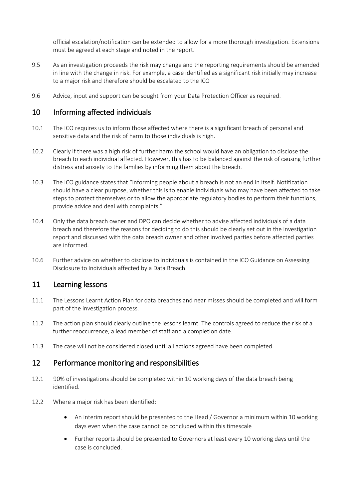official escalation/notification can be extended to allow for a more thorough investigation. Extensions must be agreed at each stage and noted in the report.

- 9.5 As an investigation proceeds the risk may change and the reporting requirements should be amended in line with the change in risk. For example, a case identified as a significant risk initially may increase to a major risk and therefore should be escalated to the ICO
- 9.6 Advice, input and support can be sought from your Data Protection Officer as required.

#### 10 Informing affected individuals

- 10.1 The ICO requires us to inform those affected where there is a significant breach of personal and sensitive data and the risk of harm to those individuals is high.
- 10.2 Clearly if there was a high risk of further harm the school would have an obligation to disclose the breach to each individual affected. However, this has to be balanced against the risk of causing further distress and anxiety to the families by informing them about the breach.
- 10.3 The ICO guidance states that "informing people about a breach is not an end in itself. Notification should have a clear purpose, whether this is to enable individuals who may have been affected to take steps to protect themselves or to allow the appropriate regulatory bodies to perform their functions, provide advice and deal with complaints."
- 10.4 Only the data breach owner and DPO can decide whether to advise affected individuals of a data breach and therefore the reasons for deciding to do this should be clearly set out in the investigation report and discussed with the data breach owner and other involved parties before affected parties are informed.
- 10.6 Further advice on whether to disclose to individuals is contained in the ICO Guidance on Assessing Disclosure to Individuals affected by a Data Breach.

# 11 Learning lessons

- 11.1 The Lessons Learnt Action Plan for data breaches and near misses should be completed and will form part of the investigation process.
- 11.2 The action plan should clearly outline the lessons learnt. The controls agreed to reduce the risk of a further reoccurrence, a lead member of staff and a completion date.
- 11.3 The case will not be considered closed until all actions agreed have been completed.

#### 12 Performance monitoring and responsibilities

- 12.1 90% of investigations should be completed within 10 working days of the data breach being identified.
- 12.2 Where a major risk has been identified:
	- An interim report should be presented to the Head / Governor a minimum within 10 working days even when the case cannot be concluded within this timescale
	- Further reports should be presented to Governors at least every 10 working days until the case is concluded.